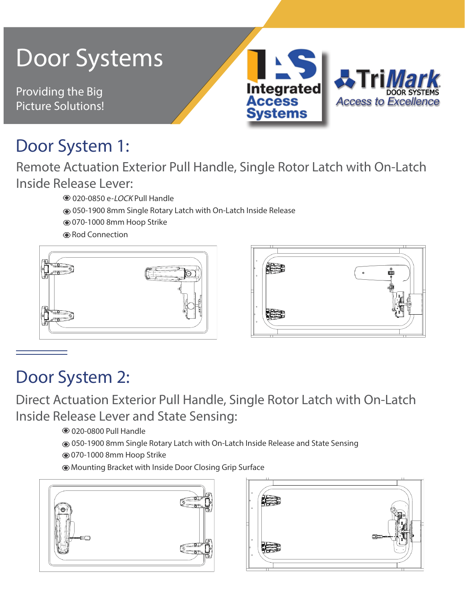#### Door Systems Integrated Providing the Big **Access to Excellence** Picture Solutions! **Systems**

# Door System 1:

Remote Actuation Exterior Pull Handle, Single Rotor Latch with On-Latch Inside Release Lever:

> 020-0850 e-LOCK Pull Handle 050-1900 8mm Single Rotary Latch with On-Latch Inside Release 070-1000 8mm Hoop Strike

Rod Connection





### Door System 2:

Direct Actuation Exterior Pull Handle, Single Rotor Latch with On-Latch Inside Release Lever and State Sensing:

020-0800 Pull Handle

050-1900 8mm Single Rotary Latch with On-Latch Inside Release and State Sensing

070-1000 8mm Hoop Strike

Mounting Bracket with Inside Door Closing Grip Surface